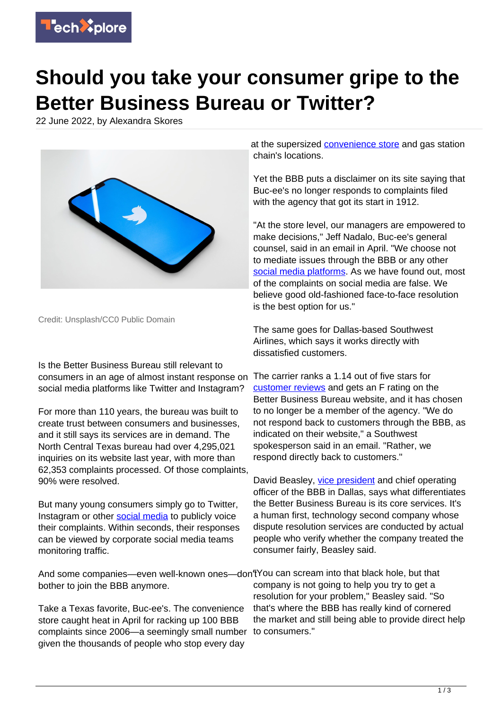

## **Should you take your consumer gripe to the Better Business Bureau or Twitter?**

22 June 2022, by Alexandra Skores



Credit: Unsplash/CC0 Public Domain

Is the Better Business Bureau still relevant to consumers in an age of almost instant response on social media platforms like Twitter and Instagram?

For more than 110 years, the bureau was built to create trust between consumers and businesses, and it still says its services are in demand. The North Central Texas bureau had over 4,295,021 inquiries on its website last year, with more than 62,353 complaints processed. Of those complaints, 90% were resolved.

But many young consumers simply go to Twitter, Instagram or other [social media](https://techxplore.com/tags/social+media/) to publicly voice their complaints. Within seconds, their responses can be viewed by corporate social media teams monitoring traffic.

And some companies—even well-known ones—don't You can scream into that black hole, but that bother to join the BBB anymore.

Take a Texas favorite, Buc-ee's. The convenience store caught heat in April for racking up 100 BBB complaints since 2006—a seemingly small number given the thousands of people who stop every day

at the supersized [convenience store](https://techxplore.com/tags/convenience+store/) and gas station chain's locations.

Yet the BBB puts a disclaimer on its site saying that Buc-ee's no longer responds to complaints filed with the agency that got its start in 1912.

"At the store level, our managers are empowered to make decisions," Jeff Nadalo, Buc-ee's general counsel, said in an email in April. "We choose not to mediate issues through the BBB or any other [social media platforms.](https://techxplore.com/tags/social+media+platforms/) As we have found out, most of the complaints on social media are false. We believe good old-fashioned face-to-face resolution is the best option for us."

The same goes for Dallas-based Southwest Airlines, which says it works directly with dissatisfied customers.

The carrier ranks a 1.14 out of five stars for [customer reviews](https://techxplore.com/tags/customer+reviews/) and gets an F rating on the Better Business Bureau website, and it has chosen to no longer be a member of the agency. "We do not respond back to customers through the BBB, as indicated on their website," a Southwest spokesperson said in an email. "Rather, we respond directly back to customers."

David Beasley, [vice president](https://techxplore.com/tags/vice+president/) and chief operating officer of the BBB in Dallas, says what differentiates the Better Business Bureau is its core services. It's a human first, technology second company whose dispute resolution services are conducted by actual people who verify whether the company treated the consumer fairly, Beasley said.

company is not going to help you try to get a resolution for your problem," Beasley said. "So that's where the BBB has really kind of cornered the market and still being able to provide direct help to consumers."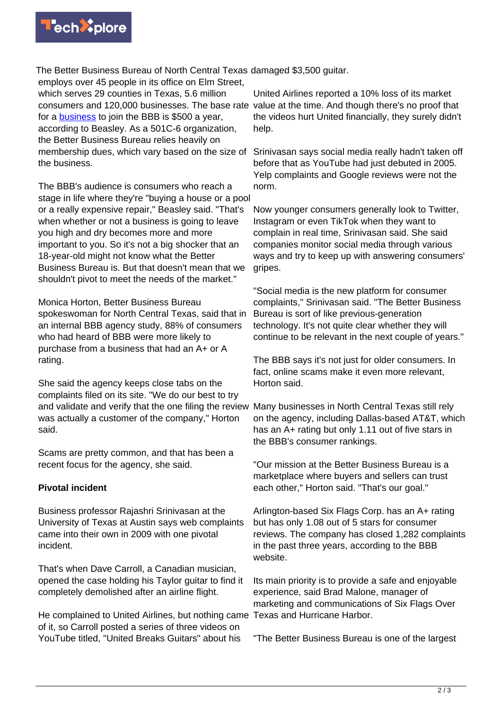

The Better Business Bureau of North Central Texas damaged \$3,500 guitar.

employs over 45 people in its office on Elm Street, which serves 29 counties in Texas, 5.6 million consumers and 120,000 businesses. The base rate value at the time. And though there's no proof that for a [business](https://techxplore.com/tags/business/) to join the BBB is \$500 a year, according to Beasley. As a 501C-6 organization, the Better Business Bureau relies heavily on membership dues, which vary based on the size of the business.

The BBB's audience is consumers who reach a stage in life where they're "buying a house or a pool or a really expensive repair," Beasley said. "That's when whether or not a business is going to leave you high and dry becomes more and more important to you. So it's not a big shocker that an 18-year-old might not know what the Better Business Bureau is. But that doesn't mean that we shouldn't pivot to meet the needs of the market."

Monica Horton, Better Business Bureau spokeswoman for North Central Texas, said that in an internal BBB agency study, 88% of consumers who had heard of BBB were more likely to purchase from a business that had an A+ or A rating.

She said the agency keeps close tabs on the complaints filed on its site. "We do our best to try and validate and verify that the one filing the review was actually a customer of the company," Horton said.

Scams are pretty common, and that has been a recent focus for the agency, she said.

## **Pivotal incident**

Business professor Rajashri Srinivasan at the University of Texas at Austin says web complaints came into their own in 2009 with one pivotal incident.

That's when Dave Carroll, a Canadian musician, opened the case holding his Taylor guitar to find it completely demolished after an airline flight.

He complained to United Airlines, but nothing came Texas and Hurricane Harbor. of it, so Carroll posted a series of three videos on YouTube titled, "United Breaks Guitars" about his

United Airlines reported a 10% loss of its market the videos hurt United financially, they surely didn't help.

Srinivasan says social media really hadn't taken off before that as YouTube had just debuted in 2005. Yelp complaints and Google reviews were not the norm.

Now younger consumers generally look to Twitter, Instagram or even TikTok when they want to complain in real time, Srinivasan said. She said companies monitor social media through various ways and try to keep up with answering consumers' gripes.

"Social media is the new platform for consumer complaints," Srinivasan said. "The Better Business Bureau is sort of like previous-generation technology. It's not quite clear whether they will continue to be relevant in the next couple of years."

The BBB says it's not just for older consumers. In fact, online scams make it even more relevant, Horton said.

Many businesses in North Central Texas still rely on the agency, including Dallas-based AT&T, which has an A+ rating but only 1.11 out of five stars in the BBB's consumer rankings.

"Our mission at the Better Business Bureau is a marketplace where buyers and sellers can trust each other," Horton said. "That's our goal."

Arlington-based Six Flags Corp. has an A+ rating but has only 1.08 out of 5 stars for consumer reviews. The company has closed 1,282 complaints in the past three years, according to the BBB website.

Its main priority is to provide a safe and enjoyable experience, said Brad Malone, manager of marketing and communications of Six Flags Over

"The Better Business Bureau is one of the largest